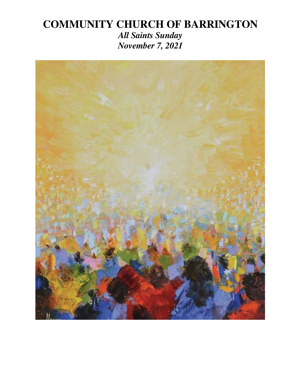# **COMMUNITY CHURCH OF BARRINGTON**

*All Saints Sunday November 7, 2021* 

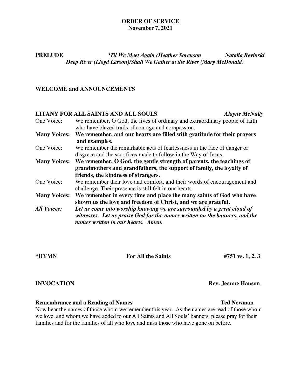### **ORDER OF SERVICE November 7, 2021**

# **PRELUDE** *'Til We Meet Again (Heather Sorenson Natalia Revinski Deep River (Lloyd Larson)/Shall We Gather at the River (Mary McDonald)*

### **WELCOME and ANNOUNCEMENTS**

# **LITANY FOR ALL SAINTS AND ALL SOULS** *Alayne McNulty*

| One Voice:          | We remember, O God, the lives of ordinary and extraordinary people of faith |
|---------------------|-----------------------------------------------------------------------------|
|                     | who have blazed trails of courage and compassion.                           |
| <b>Many Voices:</b> | We remember, and our hearts are filled with gratitude for their prayers     |
|                     | and examples.                                                               |
| One Voice:          | We remember the remarkable acts of fearlessness in the face of danger or    |
|                     | disgrace and the sacrifices made to follow in the Way of Jesus.             |
| <b>Many Voices:</b> | We remember, O God, the gentle strength of parents, the teachings of        |
|                     | grandmothers and grandfathers, the support of family, the loyalty of        |
|                     | friends, the kindness of strangers.                                         |
| One Voice:          | We remember their love and comfort, and their words of encouragement and    |
|                     | challenge. Their presence is still felt in our hearts.                      |
| <b>Many Voices:</b> | We remember in every time and place the many saints of God who have         |
|                     | shown us the love and freedom of Christ, and we are grateful.               |
| <b>All Voices:</b>  | Let us come into worship knowing we are surrounded by a great cloud of      |
|                     | witnesses. Let us praise God for the names written on the banners, and the  |
|                     | names written in our hearts. Amen.                                          |

# **\*HYMN For All the Saints #751 vs. 1, 2, 3**

# **INVOCATION Rev. Jeanne Hanson**

### **Remembrance and a Reading of Names Ted Newman**  Ted Newman

Now hear the names of those whom we remember this year. As the names are read of those whom we love, and whom we have added to our All Saints and All Souls' banners, please pray for their families and for the families of all who love and miss those who have gone on before.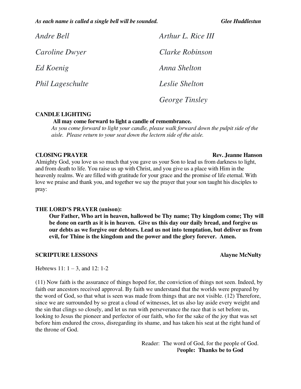*As each name is called a single bell will be sounded. Glee Huddlestun*

| Andre Bell            | Arthur L. Rice III    |
|-----------------------|-----------------------|
| <i>Caroline Dwyer</i> | Clarke Robinson       |
| Ed Koenig             | Anna Shelton          |
| Phil Lageschulte      | Leslie Shelton        |
|                       | <i>George Tinsley</i> |

## **CANDLE LIGHTING**

 **All may come forward to light a candle of remembrance.** 

 *As you come forward to light your candle, please walk forward down the pulpit side of the aisle. Please return to your seat down the lectern side of the aisle.* 

### **CLOSING PRAYER Rev. Jeanne Hanson**

Almighty God, you love us so much that you gave us your Son to lead us from darkness to light, and from death to life. You raise us up with Christ, and you give us a place with Him in the heavenly realms. We are filled with gratitude for your grace and the promise of life eternal. With love we praise and thank you, and together we say the prayer that your son taught his disciples to pray:

## **THE LORD'S PRAYER (unison):**

**Our Father, Who art in heaven, hallowed be Thy name; Thy kingdom come; Thy will be done on earth as it is in heaven. Give us this day our daily bread, and forgive us our debts as we forgive our debtors. Lead us not into temptation, but deliver us from evil, for Thine is the kingdom and the power and the glory forever. Amen.** 

### **SCRIPTURE LESSONS** Alayne McNulty

Hebrews 11:  $1 - 3$ , and 12: 1-2

(11) Now faith is the assurance of things hoped for, the conviction of things not seen. Indeed, by faith our ancestors received approval. By faith we understand that the worlds were prepared by the word of God, so that what is seen was made from things that are not visible. (12) Therefore, since we are surrounded by so great a cloud of witnesses, let us also lay aside every weight and the sin that clings so closely, and let us run with perseverance the race that is set before us, looking to Jesus the pioneer and perfector of our faith, who for the sake of the joy that was set before him endured the cross, disregarding its shame, and has taken his seat at the right hand of the throne of God.

> Reader: The word of God, for the people of God. P**eople: Thanks be to God**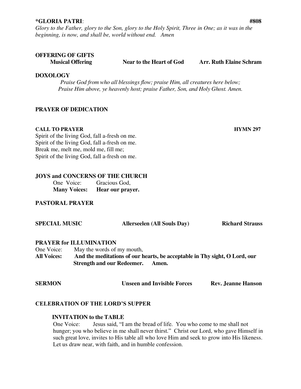### **\*GLORIA PATRI**: **#808**

*Glory to the Father, glory to the Son, glory to the Holy Spirit, Three in One; as it was in the beginning, is now, and shall be, world without end. Amen* 

# **OFFERING OF GIFTS**

 **Musical Offering Near to the Heart of God Arr. Ruth Elaine Schram** 

### **DOXOLOGY**

*Praise God from who all blessings flow; praise Him, all creatures here below; Praise Him above, ye heavenly host; praise Father, Son, and Holy Ghost. Amen.* 

## **PRAYER OF DEDICATION**

### **CALL TO PRAYER HYMN 297**

Spirit of the living God, fall a-fresh on me. Spirit of the living God, fall a-fresh on me. Break me, melt me, mold me, fill me; Spirit of the living God, fall a-fresh on me.

## **JOYS and CONCERNS OF THE CHURCH**

**One Voice:** Gracious God, **Many Voices: Hear our prayer.**

# **PASTORAL PRAYER**

| <b>SPECIAL MUSIC</b> |                                                                            |                                   | <b>Allerseelen (All Souls Day)</b> | <b>Richard Strauss</b> |  |
|----------------------|----------------------------------------------------------------------------|-----------------------------------|------------------------------------|------------------------|--|
|                      | <b>PRAYER for ILLUMINATION</b>                                             |                                   |                                    |                        |  |
| One Voice:           |                                                                            | May the words of my mouth,        |                                    |                        |  |
| <b>All Voices:</b>   | And the meditations of our hearts, be acceptable in Thy sight, O Lord, our |                                   |                                    |                        |  |
|                      |                                                                            | <b>Strength and our Redeemer.</b> | Amen.                              |                        |  |
|                      |                                                                            |                                   |                                    |                        |  |
|                      |                                                                            |                                   |                                    |                        |  |

| <b>SERMON</b> | <b>Unseen and Invisible Forces</b> | <b>Rev. Jeanne Hanson</b> |
|---------------|------------------------------------|---------------------------|
|               |                                    |                           |

## **CELEBRATION OF THE LORD'S SUPPER**

## **INVITATION to the TABLE**

 One Voice: Jesus said, "I am the bread of life. You who come to me shall not hunger; you who believe in me shall never thirst." Christ our Lord, who gave Himself in such great love, invites to His table all who love Him and seek to grow into His likeness. Let us draw near, with faith, and in humble confession.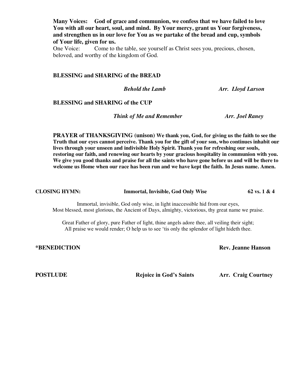**Many Voices: God of grace and communion, we confess that we have failed to love You with all our heart, soul, and mind. By Your mercy, grant us Your forgiveness, and strengthen us in our love for You as we partake of the bread and cup, symbols of Your life, given for us.** 

 One Voice: Come to the table, see yourself as Christ sees you, precious, chosen, beloved, and worthy of the kingdom of God.

### **BLESSING and SHARING of the BREAD**

*Behold the Lamb**Arr. Lloyd Larson*

### **BLESSING and SHARING of the CUP**

*Think of Me and Remember Arr. Joel Raney* 

**PRAYER of THANKSGIVING (unison) We thank you, God, for giving us the faith to see the Truth that our eyes cannot perceive. Thank you for the gift of your son, who continues inhabit our lives through your unseen and indivisible Holy Spirit. Thank you for refreshing our souls, restoring our faith, and renewing our hearts by your gracious hospitality in communion with you. We give you good thanks and praise for all the saints who have gone before us and will be there to welcome us Home when our race has been run and we have kept the faith. In Jesus name. Amen.** 

**CLOSING HYMN:** Immortal, Invisible, God Only Wise 62 vs. 1 & 4

Immortal, invisible, God only wise, in light inaccessible hid from our eyes, Most blessed, most glorious, the Ancient of Days, almighty, victorious, thy great name we praise.

Great Father of glory, pure Father of light, thine angels adore thee, all veiling their sight; All praise we would render; O help us to see 'tis only the splendor of light hideth thee.

**\*BENEDICTION Rev. Jeanne Hanson** 

**POSTLUDE Rejoice in God's Saints Arr. Craig Courtney**